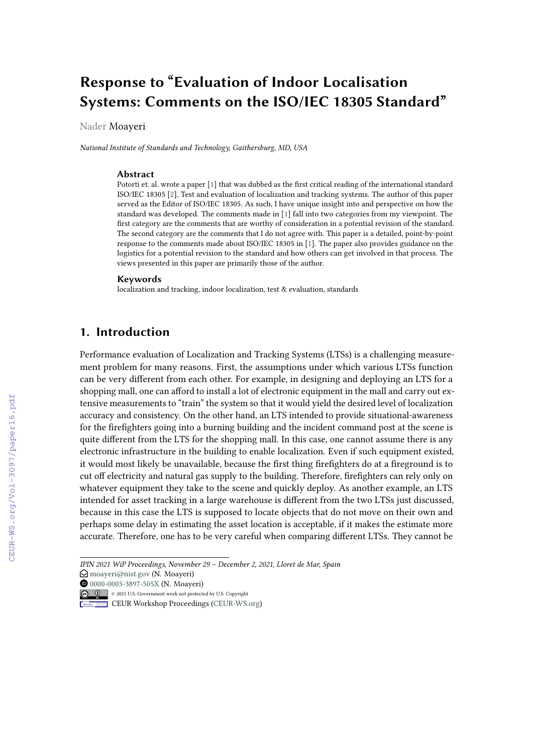# **Response to "Evaluation of Indoor Localisation Systems: Comments on the ISO/IEC 18305 Standard"**

Nader Moayeri

*National Institute of Standards and Technology, Gaithersburg, MD, USA*

#### **Abstract**

Potorti et. al. wrote a paper [\[1\]](#page--1-0) that was dubbed as the first critical reading of the international standard ISO/IEC 18305 [\[2\]](#page--1-1), Test and evaluation of localization and tracking systems. The author of this paper served as the Editor of ISO/IEC 18305. As such, I have unique insight into and perspective on how the standard was developed. The comments made in [\[1\]](#page--1-0) fall into two categories from my viewpoint. The first category are the comments that are worthy of consideration in a potential revision of the standard. The second category are the comments that I do not agree with. This paper is a detailed, point-by-point response to the comments made about ISO/IEC 18305 in [\[1\]](#page--1-0). The paper also provides guidance on the logistics for a potential revision to the standard and how others can get involved in that process. The views presented in this paper are primarily those of the author.

#### **Keywords**

localization and tracking, indoor localization, test & evaluation, standards

## **1. Introduction**

Performance evaluation of Localization and Tracking Systems (LTSs) is a challenging measurement problem for many reasons. First, the assumptions under which various LTSs function can be very different from each other. For example, in designing and deploying an LTS for a shopping mall, one can afford to install a lot of electronic equipment in the mall and carry out extensive measurements to "train" the system so that it would yield the desired level of localization accuracy and consistency. On the other hand, an LTS intended to provide situational-awareness for the firefighters going into a burning building and the incident command post at the scene is quite different from the LTS for the shopping mall. In this case, one cannot assume there is any electronic infrastructure in the building to enable localization. Even if such equipment existed, it would most likely be unavailable, because the first thing firefighters do at a fireground is to cut off electricity and natural gas supply to the building. Therefore, firefighters can rely only on whatever equipment they take to the scene and quickly deploy. As another example, an LTS intended for asset tracking in a large warehouse is different from the two LTSs just discussed, because in this case the LTS is supposed to locate objects that do not move on their own and perhaps some delay in estimating the asset location is acceptable, if it makes the estimate more accurate. Therefore, one has to be very careful when comparing different LTSs. They cannot be

*IPIN 2021 WiP Proceedings, November 29 – December 2, 2021, Lloret de Mar, Spain*

 $\bigcirc$  [moayeri@nist.gov](mailto:moayeri@nist.gov) (N. Moayeri)

[0000-0003-3897-505X](https://orcid.org/0000-0003-3897-505X) (N. Moayeri)

<sup>©</sup> 2021 U.S. Government work not protected by U.S. Copyright

**CEUR Workshop [Proceedings](http://ceur-ws.org) [\(CEUR-WS.org\)](http://ceur-ws.org)**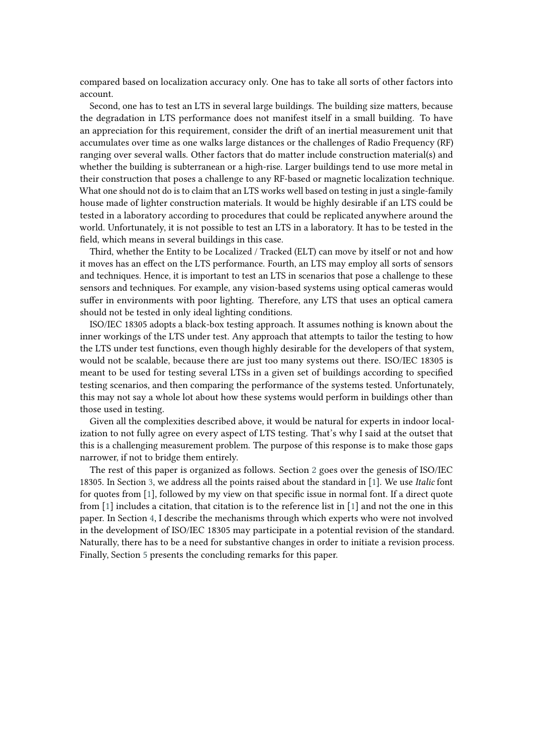compared based on localization accuracy only. One has to take all sorts of other factors into account.

Second, one has to test an LTS in several large buildings. The building size matters, because the degradation in LTS performance does not manifest itself in a small building. To have an appreciation for this requirement, consider the drift of an inertial measurement unit that accumulates over time as one walks large distances or the challenges of Radio Frequency (RF) ranging over several walls. Other factors that do matter include construction material(s) and whether the building is subterranean or a high-rise. Larger buildings tend to use more metal in their construction that poses a challenge to any RF-based or magnetic localization technique. What one should not do is to claim that an LTS works well based on testing in just a single-family house made of lighter construction materials. It would be highly desirable if an LTS could be tested in a laboratory according to procedures that could be replicated anywhere around the world. Unfortunately, it is not possible to test an LTS in a laboratory. It has to be tested in the field, which means in several buildings in this case.

Third, whether the Entity to be Localized / Tracked (ELT) can move by itself or not and how it moves has an effect on the LTS performance. Fourth, an LTS may employ all sorts of sensors and techniques. Hence, it is important to test an LTS in scenarios that pose a challenge to these sensors and techniques. For example, any vision-based systems using optical cameras would suffer in environments with poor lighting. Therefore, any LTS that uses an optical camera should not be tested in only ideal lighting conditions.

ISO/IEC 18305 adopts a black-box testing approach. It assumes nothing is known about the inner workings of the LTS under test. Any approach that attempts to tailor the testing to how the LTS under test functions, even though highly desirable for the developers of that system, would not be scalable, because there are just too many systems out there. ISO/IEC 18305 is meant to be used for testing several LTSs in a given set of buildings according to specified testing scenarios, and then comparing the performance of the systems tested. Unfortunately, this may not say a whole lot about how these systems would perform in buildings other than those used in testing.

Given all the complexities described above, it would be natural for experts in indoor localization to not fully agree on every aspect of LTS testing. That's why I said at the outset that this is a challenging measurement problem. The purpose of this response is to make those gaps narrower, if not to bridge them entirely.

The rest of this paper is organized as follows. Section [2](#page-2-0) goes over the genesis of ISO/IEC 18305. In Section [3,](#page-2-1) we address all the points raised about the standard in [\[1\]](#page-10-0). We use *Italic* font for quotes from [\[1\]](#page-10-0), followed by my view on that specific issue in normal font. If a direct quote from [\[1\]](#page-10-0) includes a citation, that citation is to the reference list in [\[1\]](#page-10-0) and not the one in this paper. In Section [4,](#page-8-0) I describe the mechanisms through which experts who were not involved in the development of ISO/IEC 18305 may participate in a potential revision of the standard. Naturally, there has to be a need for substantive changes in order to initiate a revision process. Finally, Section [5](#page-9-0) presents the concluding remarks for this paper.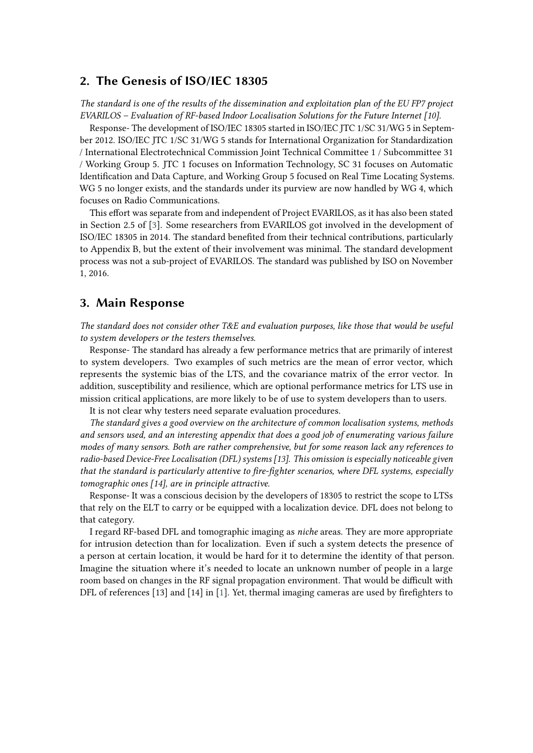## <span id="page-2-0"></span>**2. The Genesis of ISO/IEC 18305**

*The standard is one of the results of the dissemination and exploitation plan of the EU FP7 project EVARILOS – Evaluation of RF-based Indoor Localisation Solutions for the Future Internet [10].*

Response- The development of ISO/IEC 18305 started in ISO/IEC JTC 1/SC 31/WG 5 in September 2012. ISO/IEC JTC 1/SC 31/WG 5 stands for International Organization for Standardization / International Electrotechnical Commission Joint Technical Committee 1 / Subcommittee 31 / Working Group 5. JTC 1 focuses on Information Technology, SC 31 focuses on Automatic Identification and Data Capture, and Working Group 5 focused on Real Time Locating Systems. WG 5 no longer exists, and the standards under its purview are now handled by WG 4, which focuses on Radio Communications.

This effort was separate from and independent of Project EVARILOS, as it has also been stated in Section 2.5 of [\[3\]](#page-10-1). Some researchers from EVARILOS got involved in the development of ISO/IEC 18305 in 2014. The standard benefited from their technical contributions, particularly to Appendix B, but the extent of their involvement was minimal. The standard development process was not a sub-project of EVARILOS. The standard was published by ISO on November 1, 2016.

### <span id="page-2-1"></span>**3. Main Response**

*The standard does not consider other T&E and evaluation purposes, like those that would be useful to system developers or the testers themselves.*

Response- The standard has already a few performance metrics that are primarily of interest to system developers. Two examples of such metrics are the mean of error vector, which represents the systemic bias of the LTS, and the covariance matrix of the error vector. In addition, susceptibility and resilience, which are optional performance metrics for LTS use in mission critical applications, are more likely to be of use to system developers than to users.

It is not clear why testers need separate evaluation procedures.

*The standard gives a good overview on the architecture of common localisation systems, methods and sensors used, and an interesting appendix that does a good job of enumerating various failure modes of many sensors. Both are rather comprehensive, but for some reason lack any references to radio-based Device-Free Localisation (DFL) systems [13]. This omission is especially noticeable given that the standard is particularly attentive to fire-fighter scenarios, where DFL systems, especially tomographic ones [14], are in principle attractive.*

Response- It was a conscious decision by the developers of 18305 to restrict the scope to LTSs that rely on the ELT to carry or be equipped with a localization device. DFL does not belong to that category.

I regard RF-based DFL and tomographic imaging as *niche* areas. They are more appropriate for intrusion detection than for localization. Even if such a system detects the presence of a person at certain location, it would be hard for it to determine the identity of that person. Imagine the situation where it's needed to locate an unknown number of people in a large room based on changes in the RF signal propagation environment. That would be difficult with DFL of references [13] and [14] in [\[1\]](#page-10-0). Yet, thermal imaging cameras are used by firefighters to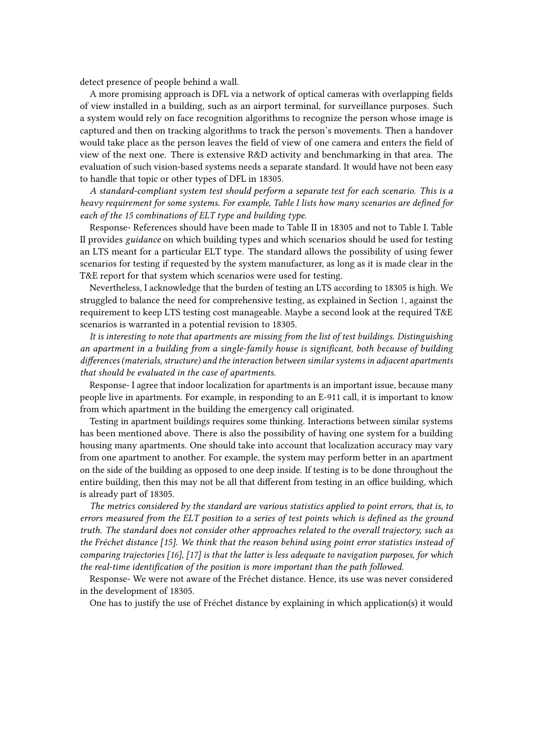detect presence of people behind a wall.

A more promising approach is DFL via a network of optical cameras with overlapping fields of view installed in a building, such as an airport terminal, for surveillance purposes. Such a system would rely on face recognition algorithms to recognize the person whose image is captured and then on tracking algorithms to track the person's movements. Then a handover would take place as the person leaves the field of view of one camera and enters the field of view of the next one. There is extensive R&D activity and benchmarking in that area. The evaluation of such vision-based systems needs a separate standard. It would have not been easy to handle that topic or other types of DFL in 18305.

*A standard-compliant system test should perform a separate test for each scenario. This is a heavy requirement for some systems. For example, Table I lists how many scenarios are defined for each of the 15 combinations of ELT type and building type.*

Response- References should have been made to Table II in 18305 and not to Table I. Table II provides *guidance* on which building types and which scenarios should be used for testing an LTS meant for a particular ELT type. The standard allows the possibility of using fewer scenarios for testing if requested by the system manufacturer, as long as it is made clear in the T&E report for that system which scenarios were used for testing.

Nevertheless, I acknowledge that the burden of testing an LTS according to 18305 is high. We struggled to balance the need for comprehensive testing, as explained in Section [1,](#page--1-2) against the requirement to keep LTS testing cost manageable. Maybe a second look at the required T&E scenarios is warranted in a potential revision to 18305.

*It is interesting to note that apartments are missing from the list of test buildings. Distinguishing an apartment in a building from a single-family house is significant, both because of building differences (materials, structure) and the interaction between similar systems in adjacent apartments that should be evaluated in the case of apartments.*

Response- I agree that indoor localization for apartments is an important issue, because many people live in apartments. For example, in responding to an E-911 call, it is important to know from which apartment in the building the emergency call originated.

Testing in apartment buildings requires some thinking. Interactions between similar systems has been mentioned above. There is also the possibility of having one system for a building housing many apartments. One should take into account that localization accuracy may vary from one apartment to another. For example, the system may perform better in an apartment on the side of the building as opposed to one deep inside. If testing is to be done throughout the entire building, then this may not be all that different from testing in an office building, which is already part of 18305.

*The metrics considered by the standard are various statistics applied to point errors, that is, to errors measured from the ELT position to a series of test points which is defined as the ground truth. The standard does not consider other approaches related to the overall trajectory, such as the Fréchet distance [15]. We think that the reason behind using point error statistics instead of comparing trajectories [16], [17] is that the latter is less adequate to navigation purposes, for which the real-time identification of the position is more important than the path followed.*

Response- We were not aware of the Fréchet distance. Hence, its use was never considered in the development of 18305.

One has to justify the use of Fréchet distance by explaining in which application(s) it would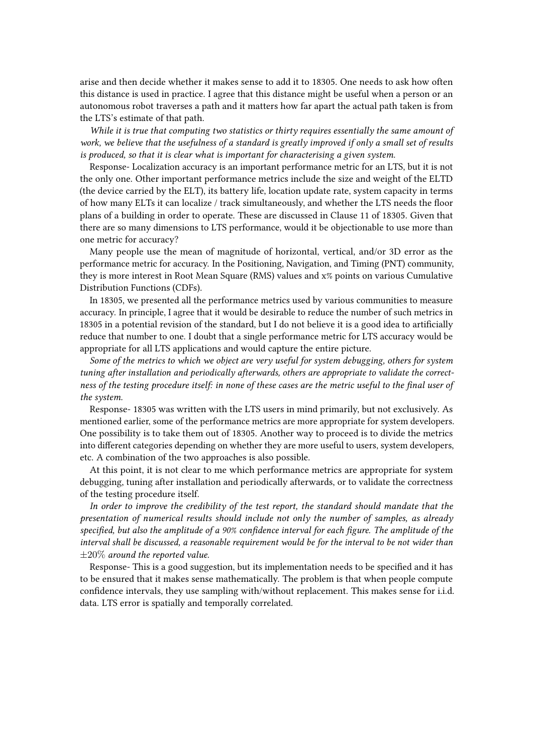arise and then decide whether it makes sense to add it to 18305. One needs to ask how often this distance is used in practice. I agree that this distance might be useful when a person or an autonomous robot traverses a path and it matters how far apart the actual path taken is from the LTS's estimate of that path.

*While it is true that computing two statistics or thirty requires essentially the same amount of work, we believe that the usefulness of a standard is greatly improved if only a small set of results is produced, so that it is clear what is important for characterising a given system.*

Response- Localization accuracy is an important performance metric for an LTS, but it is not the only one. Other important performance metrics include the size and weight of the ELTD (the device carried by the ELT), its battery life, location update rate, system capacity in terms of how many ELTs it can localize / track simultaneously, and whether the LTS needs the floor plans of a building in order to operate. These are discussed in Clause 11 of 18305. Given that there are so many dimensions to LTS performance, would it be objectionable to use more than one metric for accuracy?

Many people use the mean of magnitude of horizontal, vertical, and/or 3D error as the performance metric for accuracy. In the Positioning, Navigation, and Timing (PNT) community, they is more interest in Root Mean Square (RMS) values and x% points on various Cumulative Distribution Functions (CDFs).

In 18305, we presented all the performance metrics used by various communities to measure accuracy. In principle, I agree that it would be desirable to reduce the number of such metrics in 18305 in a potential revision of the standard, but I do not believe it is a good idea to artificially reduce that number to one. I doubt that a single performance metric for LTS accuracy would be appropriate for all LTS applications and would capture the entire picture.

*Some of the metrics to which we object are very useful for system debugging, others for system tuning after installation and periodically afterwards, others are appropriate to validate the correctness of the testing procedure itself: in none of these cases are the metric useful to the final user of the system.*

Response- 18305 was written with the LTS users in mind primarily, but not exclusively. As mentioned earlier, some of the performance metrics are more appropriate for system developers. One possibility is to take them out of 18305. Another way to proceed is to divide the metrics into different categories depending on whether they are more useful to users, system developers, etc. A combination of the two approaches is also possible.

At this point, it is not clear to me which performance metrics are appropriate for system debugging, tuning after installation and periodically afterwards, or to validate the correctness of the testing procedure itself.

*In order to improve the credibility of the test report, the standard should mandate that the presentation of numerical results should include not only the number of samples, as already specified, but also the amplitude of a 90% confidence interval for each figure. The amplitude of the interval shall be discussed, a reasonable requirement would be for the interval to be not wider than* ±20% *around the reported value.*

Response- This is a good suggestion, but its implementation needs to be specified and it has to be ensured that it makes sense mathematically. The problem is that when people compute confidence intervals, they use sampling with/without replacement. This makes sense for i.i.d. data. LTS error is spatially and temporally correlated.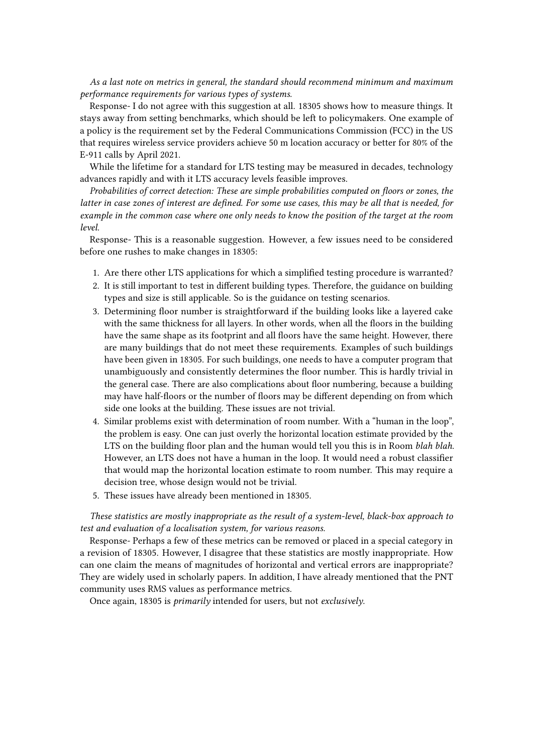*As a last note on metrics in general, the standard should recommend minimum and maximum performance requirements for various types of systems.*

Response- I do not agree with this suggestion at all. 18305 shows how to measure things. It stays away from setting benchmarks, which should be left to policymakers. One example of a policy is the requirement set by the Federal Communications Commission (FCC) in the US that requires wireless service providers achieve 50 m location accuracy or better for 80% of the E-911 calls by April 2021.

While the lifetime for a standard for LTS testing may be measured in decades, technology advances rapidly and with it LTS accuracy levels feasible improves.

*Probabilities of correct detection: These are simple probabilities computed on floors or zones, the latter in case zones of interest are defined. For some use cases, this may be all that is needed, for example in the common case where one only needs to know the position of the target at the room level.*

Response- This is a reasonable suggestion. However, a few issues need to be considered before one rushes to make changes in 18305:

- 1. Are there other LTS applications for which a simplified testing procedure is warranted?
- 2. It is still important to test in different building types. Therefore, the guidance on building types and size is still applicable. So is the guidance on testing scenarios.
- 3. Determining floor number is straightforward if the building looks like a layered cake with the same thickness for all layers. In other words, when all the floors in the building have the same shape as its footprint and all floors have the same height. However, there are many buildings that do not meet these requirements. Examples of such buildings have been given in 18305. For such buildings, one needs to have a computer program that unambiguously and consistently determines the floor number. This is hardly trivial in the general case. There are also complications about floor numbering, because a building may have half-floors or the number of floors may be different depending on from which side one looks at the building. These issues are not trivial.
- 4. Similar problems exist with determination of room number. With a "human in the loop", the problem is easy. One can just overly the horizontal location estimate provided by the LTS on the building floor plan and the human would tell you this is in Room *blah blah*. However, an LTS does not have a human in the loop. It would need a robust classifier that would map the horizontal location estimate to room number. This may require a decision tree, whose design would not be trivial.
- 5. These issues have already been mentioned in 18305.

*These statistics are mostly inappropriate as the result of a system-level, black-box approach to test and evaluation of a localisation system, for various reasons.*

Response- Perhaps a few of these metrics can be removed or placed in a special category in a revision of 18305. However, I disagree that these statistics are mostly inappropriate. How can one claim the means of magnitudes of horizontal and vertical errors are inappropriate? They are widely used in scholarly papers. In addition, I have already mentioned that the PNT community uses RMS values as performance metrics.

Once again, 18305 is *primarily* intended for users, but not *exclusively*.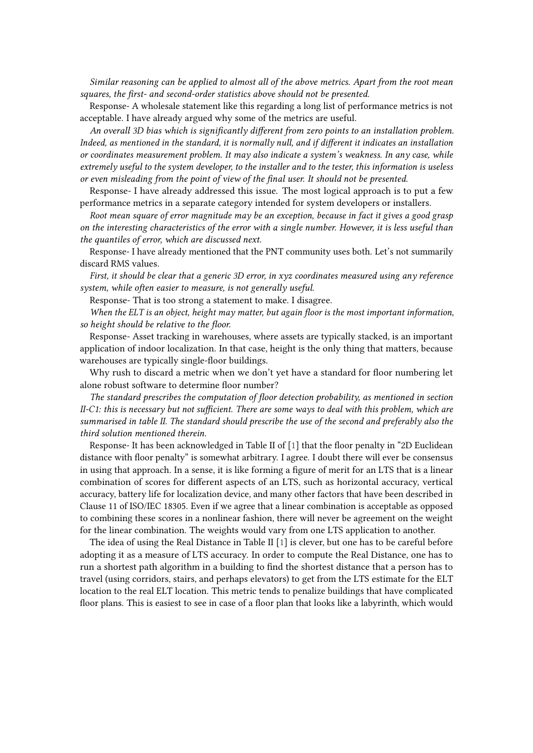*Similar reasoning can be applied to almost all of the above metrics. Apart from the root mean squares, the first- and second-order statistics above should not be presented.*

Response- A wholesale statement like this regarding a long list of performance metrics is not acceptable. I have already argued why some of the metrics are useful.

*An overall 3D bias which is significantly different from zero points to an installation problem. Indeed, as mentioned in the standard, it is normally null, and if different it indicates an installation or coordinates measurement problem. It may also indicate a system's weakness. In any case, while extremely useful to the system developer, to the installer and to the tester, this information is useless or even misleading from the point of view of the final user. It should not be presented.*

Response- I have already addressed this issue. The most logical approach is to put a few performance metrics in a separate category intended for system developers or installers.

*Root mean square of error magnitude may be an exception, because in fact it gives a good grasp on the interesting characteristics of the error with a single number. However, it is less useful than the quantiles of error, which are discussed next.*

Response- I have already mentioned that the PNT community uses both. Let's not summarily discard RMS values.

*First, it should be clear that a generic 3D error, in xyz coordinates measured using any reference system, while often easier to measure, is not generally useful.*

Response- That is too strong a statement to make. I disagree.

*When the ELT is an object, height may matter, but again floor is the most important information, so height should be relative to the floor.*

Response- Asset tracking in warehouses, where assets are typically stacked, is an important application of indoor localization. In that case, height is the only thing that matters, because warehouses are typically single-floor buildings.

Why rush to discard a metric when we don't yet have a standard for floor numbering let alone robust software to determine floor number?

*The standard prescribes the computation of floor detection probability, as mentioned in section II-C1: this is necessary but not sufficient. There are some ways to deal with this problem, which are summarised in table II. The standard should prescribe the use of the second and preferably also the third solution mentioned therein.*

Response- It has been acknowledged in Table II of [\[1\]](#page-10-0) that the floor penalty in "2D Euclidean distance with floor penalty" is somewhat arbitrary. I agree. I doubt there will ever be consensus in using that approach. In a sense, it is like forming a figure of merit for an LTS that is a linear combination of scores for different aspects of an LTS, such as horizontal accuracy, vertical accuracy, battery life for localization device, and many other factors that have been described in Clause 11 of ISO/IEC 18305. Even if we agree that a linear combination is acceptable as opposed to combining these scores in a nonlinear fashion, there will never be agreement on the weight for the linear combination. The weights would vary from one LTS application to another.

The idea of using the Real Distance in Table II [\[1\]](#page-10-0) is clever, but one has to be careful before adopting it as a measure of LTS accuracy. In order to compute the Real Distance, one has to run a shortest path algorithm in a building to find the shortest distance that a person has to travel (using corridors, stairs, and perhaps elevators) to get from the LTS estimate for the ELT location to the real ELT location. This metric tends to penalize buildings that have complicated floor plans. This is easiest to see in case of a floor plan that looks like a labyrinth, which would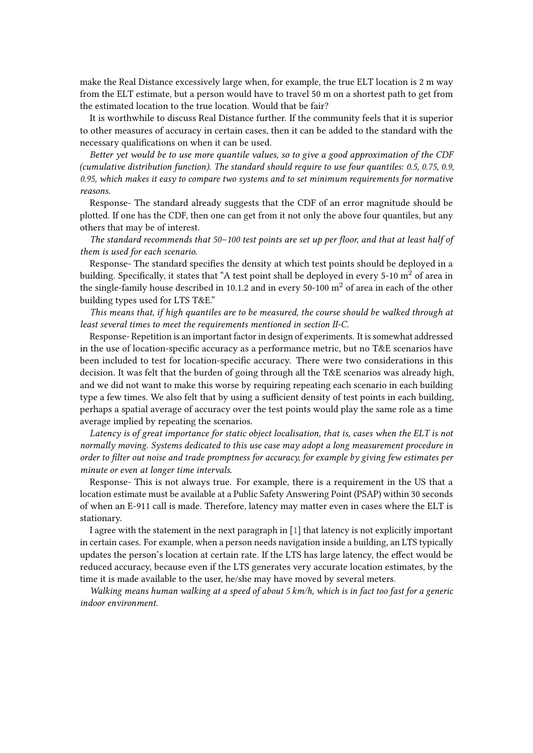make the Real Distance excessively large when, for example, the true ELT location is 2 m way from the ELT estimate, but a person would have to travel 50 m on a shortest path to get from the estimated location to the true location. Would that be fair?

It is worthwhile to discuss Real Distance further. If the community feels that it is superior to other measures of accuracy in certain cases, then it can be added to the standard with the necessary qualifications on when it can be used.

*Better yet would be to use more quantile values, so to give a good approximation of the CDF (cumulative distribution function). The standard should require to use four quantiles: 0.5, 0.75, 0.9, 0.95, which makes it easy to compare two systems and to set minimum requirements for normative reasons.*

Response- The standard already suggests that the CDF of an error magnitude should be plotted. If one has the CDF, then one can get from it not only the above four quantiles, but any others that may be of interest.

*The standard recommends that 50–100 test points are set up per floor, and that at least half of them is used for each scenario.*

Response- The standard specifies the density at which test points should be deployed in a building. Specifically, it states that "A test point shall be deployed in every 5-10  $m<sup>2</sup>$  of area in the single-family house described in 10.1.2 and in every 50-100  $m<sup>2</sup>$  of area in each of the other building types used for LTS T&E."

*This means that, if high quantiles are to be measured, the course should be walked through at least several times to meet the requirements mentioned in section II-C.*

Response- Repetition is an important factor in design of experiments. It is somewhat addressed in the use of location-specific accuracy as a performance metric, but no T&E scenarios have been included to test for location-specific accuracy. There were two considerations in this decision. It was felt that the burden of going through all the T&E scenarios was already high, and we did not want to make this worse by requiring repeating each scenario in each building type a few times. We also felt that by using a sufficient density of test points in each building, perhaps a spatial average of accuracy over the test points would play the same role as a time average implied by repeating the scenarios.

*Latency is of great importance for static object localisation, that is, cases when the ELT is not normally moving. Systems dedicated to this use case may adopt a long measurement procedure in order to filter out noise and trade promptness for accuracy, for example by giving few estimates per minute or even at longer time intervals.*

Response- This is not always true. For example, there is a requirement in the US that a location estimate must be available at a Public Safety Answering Point (PSAP) within 30 seconds of when an E-911 call is made. Therefore, latency may matter even in cases where the ELT is stationary.

I agree with the statement in the next paragraph in [\[1\]](#page-10-0) that latency is not explicitly important in certain cases. For example, when a person needs navigation inside a building, an LTS typically updates the person's location at certain rate. If the LTS has large latency, the effect would be reduced accuracy, because even if the LTS generates very accurate location estimates, by the time it is made available to the user, he/she may have moved by several meters.

*Walking means human walking at a speed of about 5 km/h, which is in fact too fast for a generic indoor environment.*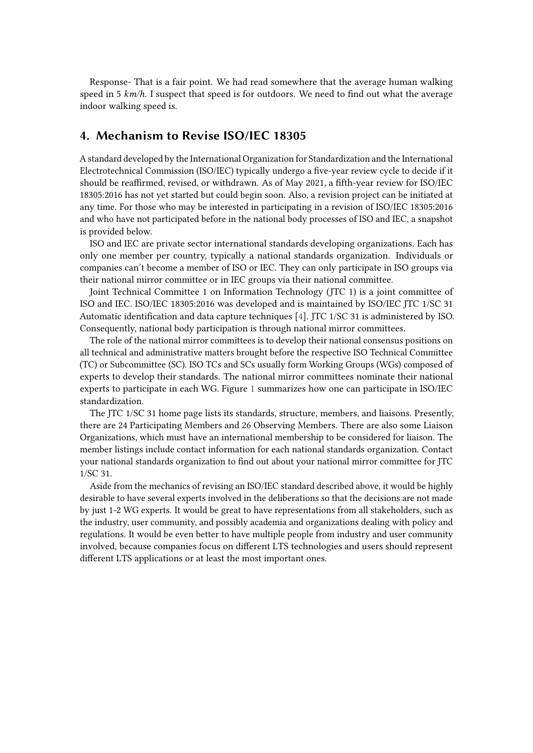Response- That is a fair point. We had read somewhere that the average human walking speed in 5 *km/h*. I suspect that speed is for outdoors. We need to find out what the average indoor walking speed is.

# <span id="page-8-0"></span>**4. Mechanism to Revise ISO/IEC 18305**

A standard developed by the International Organization for Standardization and the International Electrotechnical Commission (ISO/IEC) typically undergo a five-year review cycle to decide if it should be reaffirmed, revised, or withdrawn. As of May 2021, a fifth-year review for ISO/IEC 18305:2016 has not yet started but could begin soon. Also, a revision project can be initiated at any time. For those who may be interested in participating in a revision of ISO/IEC 18305:2016 and who have not participated before in the national body processes of ISO and IEC, a snapshot is provided below.

ISO and IEC are private sector international standards developing organizations. Each has only one member per country, typically a national standards organization. Individuals or companies can't become a member of ISO or IEC. They can only participate in ISO groups via their national mirror committee or in IEC groups via their national committee.

Joint Technical Committee 1 on Information Technology (JTC 1) is a joint committee of ISO and IEC. ISO/IEC 18305:2016 was developed and is maintained by ISO/IEC JTC 1/SC 31 Automatic identification and data capture techniques [\[4\]](#page-10-2). JTC 1/SC 31 is administered by ISO. Consequently, national body participation is through national mirror committees.

The role of the national mirror committees is to develop their national consensus positions on all technical and administrative matters brought before the respective ISO Technical Committee (TC) or Subcommittee (SC). ISO TCs and SCs usually form Working Groups (WGs) composed of experts to develop their standards. The national mirror committees nominate their national experts to participate in each WG. Figure [1](#page-9-1) summarizes how one can participate in ISO/IEC standardization.

The JTC 1/SC 31 home page lists its standards, structure, members, and liaisons. Presently, there are 24 Participating Members and 26 Observing Members. There are also some Liaison Organizations, which must have an international membership to be considered for liaison. The member listings include contact information for each national standards organization. Contact your national standards organization to find out about your national mirror committee for JTC 1/SC 31.

Aside from the mechanics of revising an ISO/IEC standard described above, it would be highly desirable to have several experts involved in the deliberations so that the decisions are not made by just 1-2 WG experts. It would be great to have representations from all stakeholders, such as the industry, user community, and possibly academia and organizations dealing with policy and regulations. It would be even better to have multiple people from industry and user community involved, because companies focus on different LTS technologies and users should represent different LTS applications or at least the most important ones.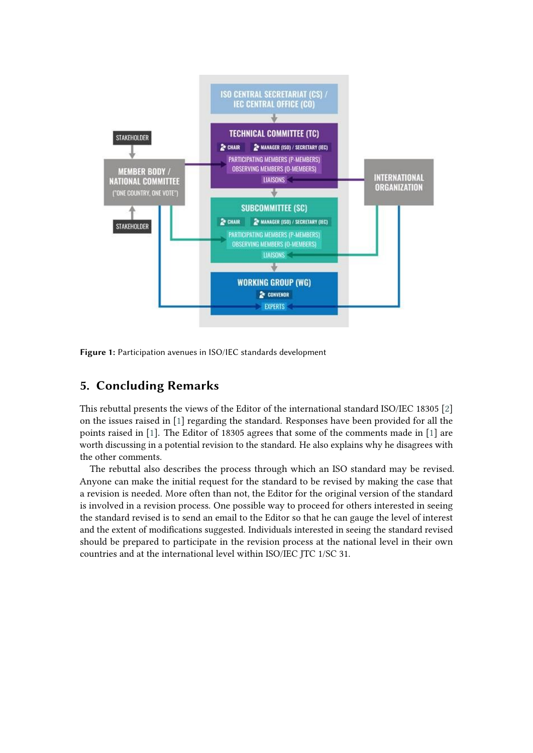

<span id="page-9-1"></span>**Figure 1:** Participation avenues in ISO/IEC standards development

# <span id="page-9-0"></span>**5. Concluding Remarks**

This rebuttal presents the views of the Editor of the international standard ISO/IEC 18305 [\[2\]](#page-10-3) on the issues raised in [\[1\]](#page-10-0) regarding the standard. Responses have been provided for all the points raised in [\[1\]](#page-10-0). The Editor of 18305 agrees that some of the comments made in [\[1\]](#page-10-0) are worth discussing in a potential revision to the standard. He also explains why he disagrees with the other comments.

The rebuttal also describes the process through which an ISO standard may be revised. Anyone can make the initial request for the standard to be revised by making the case that a revision is needed. More often than not, the Editor for the original version of the standard is involved in a revision process. One possible way to proceed for others interested in seeing the standard revised is to send an email to the Editor so that he can gauge the level of interest and the extent of modifications suggested. Individuals interested in seeing the standard revised should be prepared to participate in the revision process at the national level in their own countries and at the international level within ISO/IEC JTC 1/SC 31.